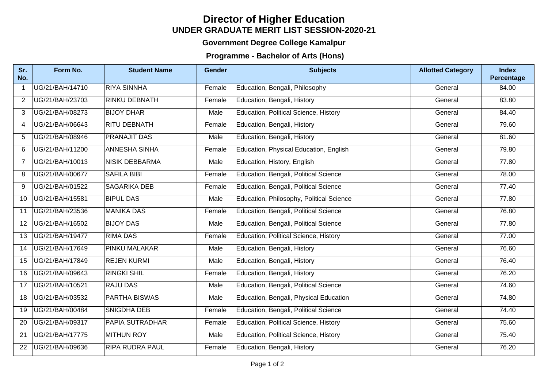## **UNDER GRADUATE MERIT LIST SESSION-2020-21 Director of Higher Education**

## **Government Degree College Kamalpur**

## **Programme - Bachelor of Arts (Hons)**

| Sr.<br>No.        | Form No.        | <b>Student Name</b>    | <b>Gender</b> | <b>Subjects</b>                          | <b>Allotted Category</b> | <b>Index</b><br>Percentage |
|-------------------|-----------------|------------------------|---------------|------------------------------------------|--------------------------|----------------------------|
| $\mathbf 1$       | UG/21/BAH/14710 | <b>RIYA SINNHA</b>     | Female        | Education, Bengali, Philosophy           | General                  | 84.00                      |
| $\overline{2}$    | UG/21/BAH/23703 | <b>RINKU DEBNATH</b>   | Female        | Education, Bengali, History              | General                  | 83.80                      |
| 3                 | UG/21/BAH/08273 | <b>BIJOY DHAR</b>      | Male          | Education, Political Science, History    | General                  | 84.40                      |
| 4                 | UG/21/BAH/06643 | <b>RITU DEBNATH</b>    | Female        | Education, Bengali, History              | General                  | $\overline{79.60}$         |
| 5                 | UG/21/BAH/08946 | <b>PRANAJIT DAS</b>    | Male          | Education, Bengali, History              | General                  | 81.60                      |
| 6                 | UG/21/BAH/11200 | <b>ANNESHA SINHA</b>   | Female        | Education, Physical Education, English   | General                  | 79.80                      |
| $\overline{7}$    | UG/21/BAH/10013 | <b>NISIK DEBBARMA</b>  | Male          | Education, History, English              | General                  | 77.80                      |
| 8                 | UG/21/BAH/00677 | <b>SAFILA BIBI</b>     | Female        | Education, Bengali, Political Science    | General                  | 78.00                      |
| 9                 | UG/21/BAH/01522 | <b>SAGARIKA DEB</b>    | Female        | Education, Bengali, Political Science    | General                  | 77.40                      |
| 10                | UG/21/BAH/15581 | <b>BIPUL DAS</b>       | Male          | Education, Philosophy, Political Science | General                  | 77.80                      |
| 11                | UG/21/BAH/23536 | <b>MANIKA DAS</b>      | Female        | Education, Bengali, Political Science    | General                  | 76.80                      |
| $12 \overline{ }$ | UG/21/BAH/16502 | <b>BIJOY DAS</b>       | Male          | Education, Bengali, Political Science    | General                  | 77.80                      |
| 13                | UG/21/BAH/19477 | <b>RIMA DAS</b>        | Female        | Education, Political Science, History    | General                  | 77.00                      |
| 14                | UG/21/BAH/17649 | <b>PINKU MALAKAR</b>   | Male          | Education, Bengali, History              | General                  | 76.60                      |
| 15                | UG/21/BAH/17849 | <b>REJEN KURMI</b>     | Male          | Education, Bengali, History              | General                  | 76.40                      |
| 16                | UG/21/BAH/09643 | <b>RINGKI SHIL</b>     | Female        | Education, Bengali, History              | General                  | 76.20                      |
| 17                | UG/21/BAH/10521 | <b>RAJU DAS</b>        | Male          | Education, Bengali, Political Science    | General                  | 74.60                      |
| 18                | UG/21/BAH/03532 | <b>PARTHA BISWAS</b>   | Male          | Education, Bengali, Physical Education   | General                  | 74.80                      |
| 19                | UG/21/BAH/00484 | SNIGDHA DEB            | Female        | Education, Bengali, Political Science    | General                  | 74.40                      |
| 20                | UG/21/BAH/09317 | <b>PAPIA SUTRADHAR</b> | Female        | Education, Political Science, History    | General                  | 75.60                      |
| 21                | UG/21/BAH/17775 | <b>MITHUN ROY</b>      | Male          | Education, Political Science, History    | General                  | 75.40                      |
| 22                | UG/21/BAH/09636 | <b>RIPA RUDRA PAUL</b> | Female        | Education, Bengali, History              | General                  | 76.20                      |